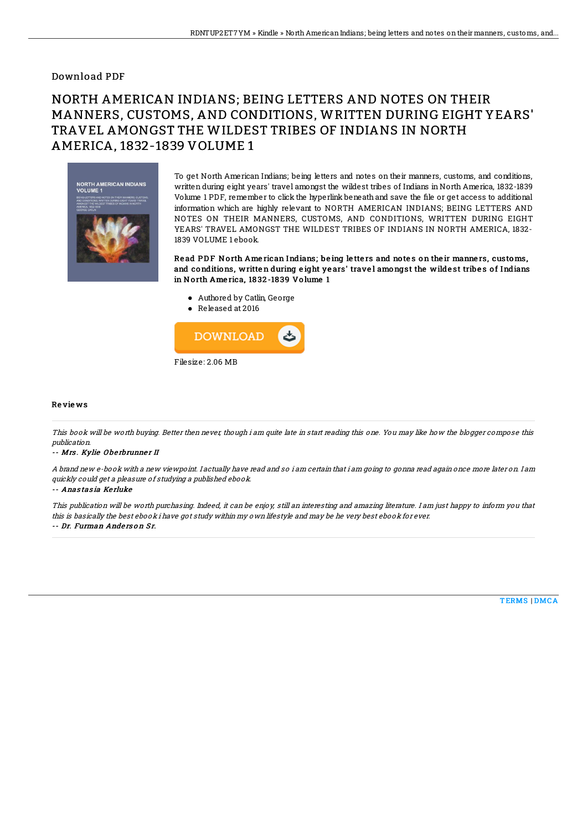## Download PDF

# NORTH AMERICAN INDIANS; BEING LETTERS AND NOTES ON THEIR MANNERS, CUSTOMS, AND CONDITIONS, WRITTEN DURING EIGHT YEARS' TRAVEL AMONGST THE WILDEST TRIBES OF INDIANS IN NORTH AMERICA, 1832-1839 VOLUME 1



To get North American Indians; being letters and notes on their manners, customs, and conditions, written during eight years' travel amongst the wildest tribes of Indians in North America, 1832-1839 Volume 1 PDF, remember to click the hyperlink beneath and save the file or get access to additional information which are highly relevant to NORTH AMERICAN INDIANS; BEING LETTERS AND NOTES ON THEIR MANNERS, CUSTOMS, AND CONDITIONS, WRITTEN DURING EIGHT YEARS' TRAVEL AMONGST THE WILDEST TRIBES OF INDIANS IN NORTH AMERICA, 1832- 1839 VOLUME 1 ebook.

Read PDF North American Indians; being letters and notes on their manners, customs, and conditions, written during eight years' travel amongst the wildest tribes of Indians in North America, 1832-1839 Volume 1

- Authored by Catlin, George
- Released at 2016



### Re vie ws

This book will be worth buying. Better then never, though i am quite late in start reading this one. You may like how the blogger compose this publication.

#### -- Mrs. Kylie Oberbrunner II

A brand new e-book with <sup>a</sup> new viewpoint. I actually have read and so i am certain that i am going to gonna read again once more later on. I am quickly could get <sup>a</sup> pleasure of studying <sup>a</sup> published ebook.

#### -- Anas tas ia Ke rluke

This publication will be worth purchasing. Indeed, it can be enjoy, still an interesting and amazing literature. I am just happy to inform you that this is basically the best ebook i have got study within my own lifestyle and may be he very best ebook for ever. -- Dr. Furman Anderson Sr.